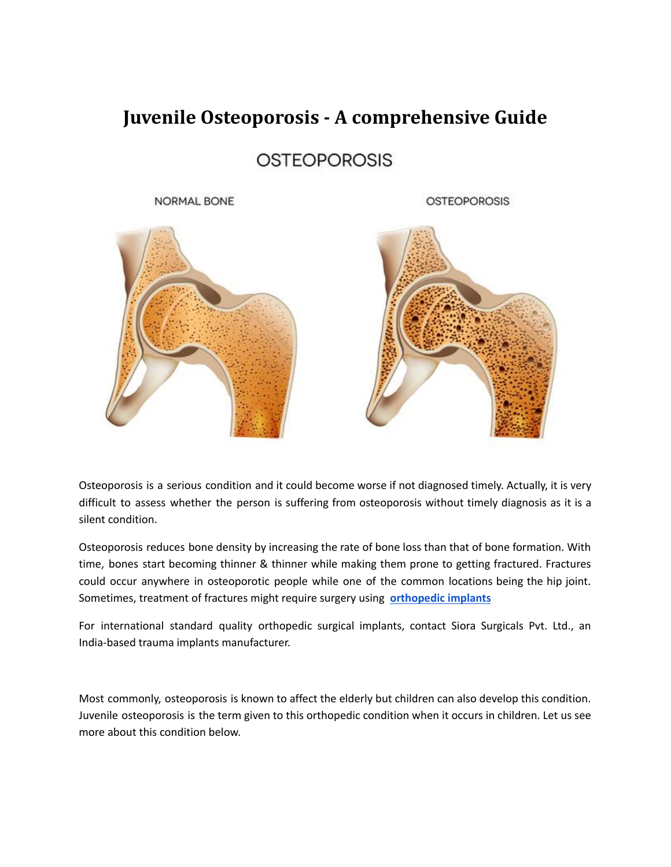# **Juvenile Osteoporosis - A comprehensive Guide**

## **OSTEOPOROSIS**

**NORMAL BONE** 

**OSTEOPOROSIS** 





Osteoporosis is a serious condition and it could become worse if not diagnosed timely. Actually, it is very difficult to assess whether the person is suffering from osteoporosis without timely diagnosis as it is a silent condition.

Osteoporosis reduces bone density by increasing the rate of bone loss than that of bone formation. With time, bones start becoming thinner & thinner while making them prone to getting fractured. Fractures could occur anywhere in osteoporotic people while one of the common locations being the hip joint. Sometimes, treatment of fractures might require surgery using **[orthopedic](https://www.siiora.cl/) implants**

For international standard quality orthopedic surgical implants, contact Siora Surgicals Pvt. Ltd., an India-based trauma implants manufacturer.

Most commonly, osteoporosis is known to affect the elderly but children can also develop this condition. Juvenile osteoporosis is the term given to this orthopedic condition when it occurs in children. Let us see more about this condition below.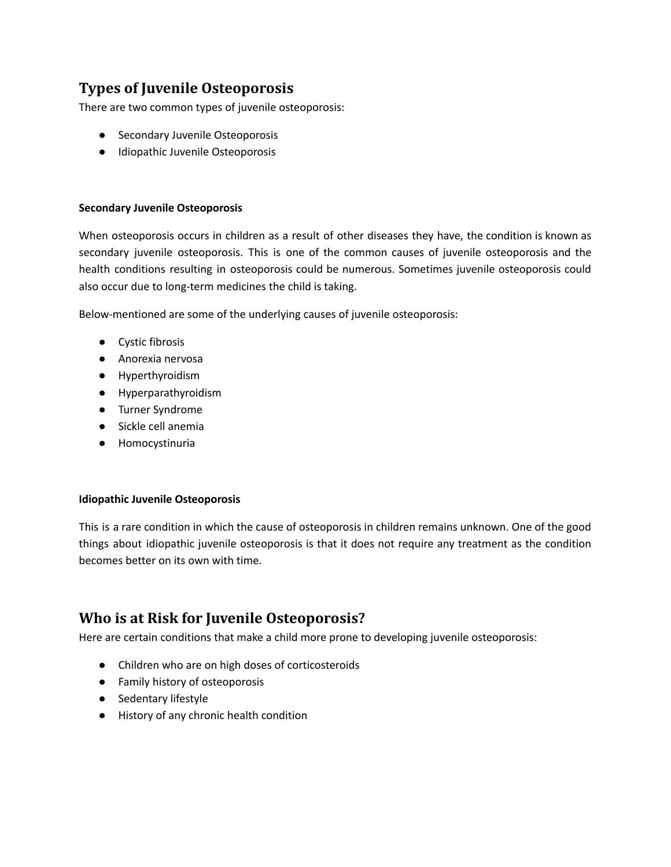#### **Types of Juvenile Osteoporosis**

There are two common types of juvenile osteoporosis:

- Secondary Juvenile Osteoporosis
- Idiopathic Juvenile Osteoporosis

#### **Secondary Juvenile Osteoporosis**

When osteoporosis occurs in children as a result of other diseases they have, the condition is known as secondary juvenile osteoporosis. This is one of the common causes of juvenile osteoporosis and the health conditions resulting in osteoporosis could be numerous. Sometimes juvenile osteoporosis could also occur due to long-term medicines the child is taking.

Below-mentioned are some of the underlying causes of juvenile osteoporosis:

- Cystic fibrosis
- Anorexia nervosa
- Hyperthyroidism
- Hyperparathyroidism
- Turner Syndrome
- Sickle cell anemia
- Homocystinuria

#### **Idiopathic Juvenile Osteoporosis**

This is a rare condition in which the cause of osteoporosis in children remains unknown. One of the good things about idiopathic juvenile osteoporosis is that it does not require any treatment as the condition becomes better on its own with time.

#### **Who is at Risk for Juvenile Osteoporosis?**

Here are certain conditions that make a child more prone to developing juvenile osteoporosis:

- Children who are on high doses of corticosteroids
- Family history of osteoporosis
- Sedentary lifestyle
- History of any chronic health condition